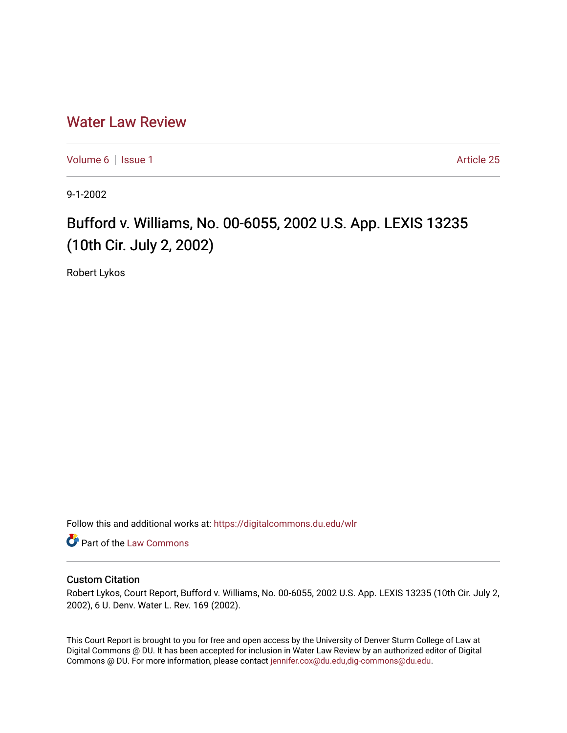## [Water Law Review](https://digitalcommons.du.edu/wlr)

[Volume 6](https://digitalcommons.du.edu/wlr/vol6) | [Issue 1](https://digitalcommons.du.edu/wlr/vol6/iss1) Article 25

9-1-2002

# Bufford v. Williams, No. 00-6055, 2002 U.S. App. LEXIS 13235 (10th Cir. July 2, 2002)

Robert Lykos

Follow this and additional works at: [https://digitalcommons.du.edu/wlr](https://digitalcommons.du.edu/wlr?utm_source=digitalcommons.du.edu%2Fwlr%2Fvol6%2Fiss1%2F25&utm_medium=PDF&utm_campaign=PDFCoverPages) 

**Part of the [Law Commons](http://network.bepress.com/hgg/discipline/578?utm_source=digitalcommons.du.edu%2Fwlr%2Fvol6%2Fiss1%2F25&utm_medium=PDF&utm_campaign=PDFCoverPages)** 

### Custom Citation

Robert Lykos, Court Report, Bufford v. Williams, No. 00-6055, 2002 U.S. App. LEXIS 13235 (10th Cir. July 2, 2002), 6 U. Denv. Water L. Rev. 169 (2002).

This Court Report is brought to you for free and open access by the University of Denver Sturm College of Law at Digital Commons @ DU. It has been accepted for inclusion in Water Law Review by an authorized editor of Digital Commons @ DU. For more information, please contact [jennifer.cox@du.edu,dig-commons@du.edu.](mailto:jennifer.cox@du.edu,dig-commons@du.edu)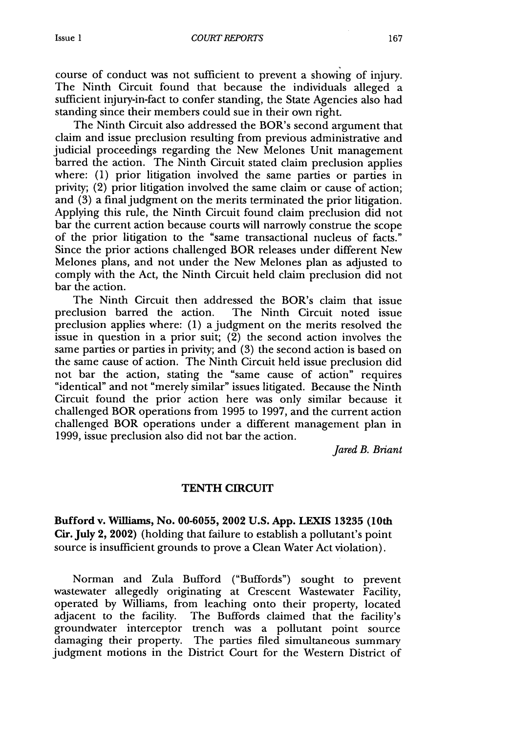course of conduct was not sufficient to prevent a showing of injury. The Ninth Circuit found that because the individuals alleged a sufficient injury-in-fact to confer standing, the State Agencies also had standing since their members could sue in their own right.

The Ninth Circuit also addressed the BOR's second argument that claim and issue preclusion resulting from previous administrative and judicial proceedings regarding the New Melones Unit management barred the action. The Ninth Circuit stated claim preclusion applies where: (1) prior litigation involved the same parties or parties in privity; (2) prior litigation involved the same claim or cause of action; and (3) a final judgment on the merits terminated the prior litigation. Applying this rule, the Ninth Circuit found claim preclusion did not bar the current action because courts will narrowly construe the scope of the prior litigation to the "same transactional nucleus of facts." Since the prior actions challenged BOR releases under different New Melones plans, and not under the New Melones plan as adjusted to comply with the Act, the Ninth Circuit held claim preclusion did not bar the action.

The Ninth Circuit then addressed the BOR's claim that issue preclusion barred the action. The Ninth Circuit noted issue preclusion applies where: (1) a judgment on the merits resolved the issue in question in a prior suit;  $(2)$  the second action involves the same parties or parties in privity; and (3) the second action is based on the same cause of action. The Ninth Circuit held issue preclusion did not bar the action, stating the "same cause of action" requires "identical" and not "merely similar" issues litigated. Because the Ninth Circuit found the prior action here was only similar because it challenged BOR operations from 1995 to 1997, and the current action challenged BOR operations under a different management plan in 1999, issue preclusion also did not bar the action.

*Jared B. Briant*

#### **TENTH CIRCUIT**

Bufford v. Williams, No. **00-6055, 2002 U.S. App. LEXIS 13235 (10th Cir. July** 2, 2002) (holding that failure to establish a pollutant's point source is insufficient grounds to prove a Clean Water Act violation).

Norman and Zula Bufford ("Buffords") sought to prevent wastewater allegedly originating at Crescent Wastewater Facility, operated by Williams, from leaching onto their property, located adjacent to the facility. The Buffords claimed that the facility's groundwater interceptor trench was a pollutant point source damaging their property. The parties filed simultaneous summary judgment motions in the District Court for the Western District of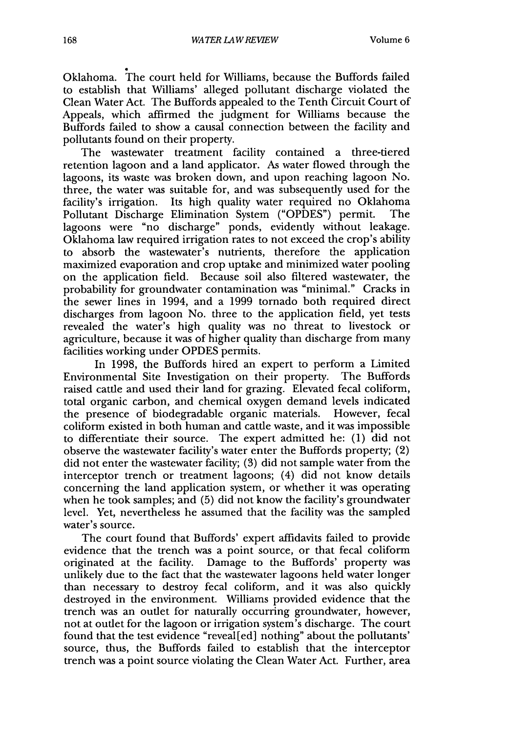Oklahoma. The court held for Williams, because the Buffords failed to establish that Williams' alleged pollutant discharge violated the Clean Water Act. The Buffords appealed to the Tenth Circuit Court of Appeals, which affirmed the judgment for Williams because the Buffords failed to show a causal connection between the facility and pollutants found on their property.

The wastewater treatment facility contained a three-tiered retention lagoon and a land applicator. As water flowed through the lagoons, its waste was broken down, and upon reaching lagoon No. three, the water was suitable for, and was subsequently used for the facility's irrigation. Its high quality water required no Oklahoma Pollutant Discharge Elimination System ("OPDES") permit. The lagoons were "no discharge" ponds, evidently without leakage. Oklahoma law required irrigation rates to not exceed the crop's ability to absorb the wastewater's nutrients, therefore the application maximized evaporation and crop uptake and minimized water pooling on the application field. Because soil also filtered wastewater, the probability for groundwater contamination was "minimal." Cracks in the sewer lines in 1994, and a 1999 tornado both required direct discharges from lagoon No. three to the application field, yet tests revealed the water's high quality was no threat to livestock or agriculture, because it was of higher quality than discharge from many facilities working under OPDES permits.

In 1998, the Buffords hired an expert to perform a Limited Environmental Site Investigation on their property. The Buffords raised cattle and used their land for grazing. Elevated fecal coliform, total organic carbon, and chemical oxygen demand levels indicated the presence of biodegradable organic materials. However, fecal coliform existed in both human and cattle waste, and it was impossible to differentiate their source. The expert admitted he: (1) did not observe the wastewater facility's water enter the Buffords property; (2) did not enter the wastewater facility; (3) did not sample water from the interceptor trench or treatment lagoons; (4) did not know details concerning the land application system, or whether it was operating when he took samples; and (5) did not know the facility's groundwater level. Yet, nevertheless he assumed that the facility was the sampled water's source.

The court found that Buffords' expert affidavits failed to provide evidence that the trench was a point source, or that fecal coliform originated at the facility. Damage to the Buffords' property was unlikely due to the fact that the wastewater lagoons held water longer than necessary to destroy fecal coliform, and it was also quickly destroyed in the environment. Williams provided evidence that the trench was an outlet for naturally occurring groundwater, however, not at outlet for the lagoon or irrigation system's discharge. The court found that the test evidence "reveal [ed] nothing" about the pollutants' source, thus, the Buffords failed to establish that the interceptor trench was a point source violating the Clean Water Act. Further, area